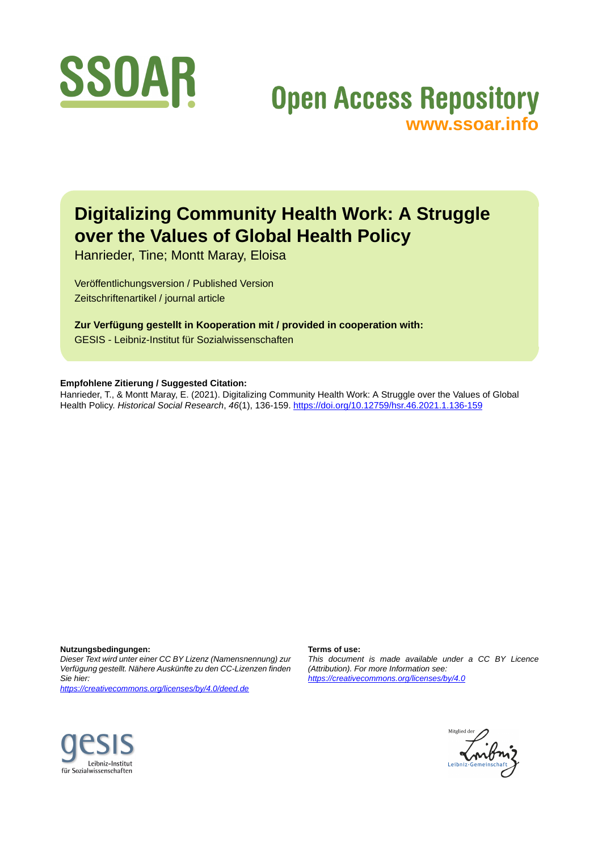

# **Open Access Repository [www.ssoar.info](http://www.ssoar.info)**

# **Digitalizing Community Health Work: A Struggle over the Values of Global Health Policy**

Hanrieder, Tine; Montt Maray, Eloisa

Veröffentlichungsversion / Published Version Zeitschriftenartikel / journal article

**Zur Verfügung gestellt in Kooperation mit / provided in cooperation with:** GESIS - Leibniz-Institut für Sozialwissenschaften

#### **Empfohlene Zitierung / Suggested Citation:**

Hanrieder, T., & Montt Maray, E. (2021). Digitalizing Community Health Work: A Struggle over the Values of Global Health Policy. *Historical Social Research*, *46*(1), 136-159.<https://doi.org/10.12759/hsr.46.2021.1.136-159>

**Nutzungsbedingungen:**

*Dieser Text wird unter einer CC BY Lizenz (Namensnennung) zur Verfügung gestellt. Nähere Auskünfte zu den CC-Lizenzen finden Sie hier:*

*<https://creativecommons.org/licenses/by/4.0/deed.de>*

#### **Terms of use:**

*This document is made available under a CC BY Licence (Attribution). For more Information see: <https://creativecommons.org/licenses/by/4.0>*



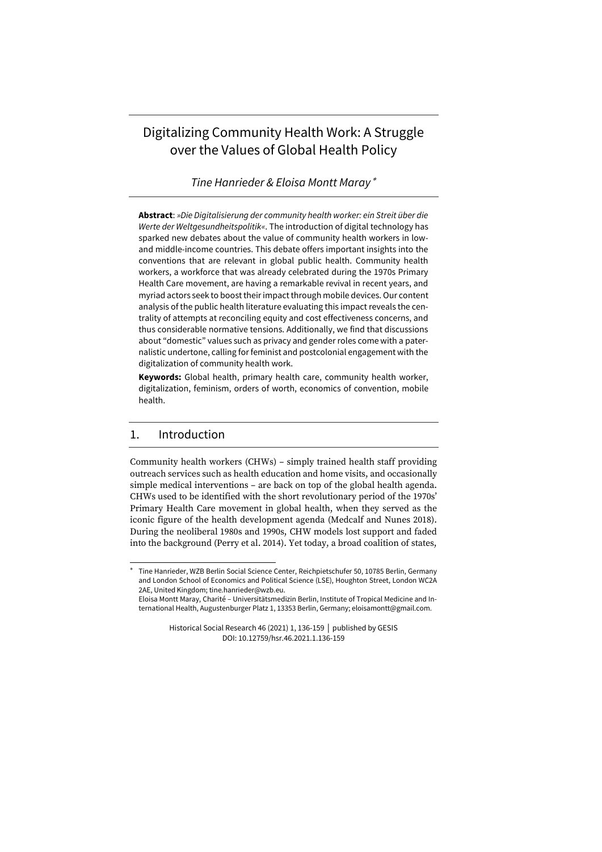# Digitalizing Community Health Work: A Struggle over the Values of Global Health Policy

*Tine Hanrieder & Eloisa Montt Maray*

**Abstract**: *»Die Digitalisierung der community health worker: ein Streit über die Werte der Weltgesundheitspolitik«*. The introduction of digital technology has sparked new debates about the value of community health workers in lowand middle-income countries. This debate offers important insights into the conventions that are relevant in global public health. Community health workers, a workforce that was already celebrated during the 1970s Primary Health Care movement, are having a remarkable revival in recent years, and myriad actors seek to boost their impact through mobile devices. Our content analysis of the public health literature evaluating this impact reveals the centrality of attempts at reconciling equity and cost effectiveness concerns, and thus considerable normative tensions. Additionally, we find that discussions about "domestic" values such as privacy and gender roles come with a paternalistic undertone, calling for feminist and postcolonial engagement with the digitalization of community health work.

**Keywords:** Global health, primary health care, community health worker, digitalization, feminism, orders of worth, economics of convention, mobile health.

#### 1. Introduction

Community health workers (CHWs) – simply trained health staff providing outreach services such as health education and home visits, and occasionally simple medical interventions – are back on top of the global health agenda. CHWs used to be identified with the short revolutionary period of the 1970s' Primary Health Care movement in global health, when they served as the iconic figure of the health development agenda (Medcalf and Nunes 2018). During the neoliberal 1980s and 1990s, CHW models lost support and faded into the background (Perry et al. 2014). Yet today, a broad coalition of states,

Eloisa Montt Maray, Charité – Universitätsmedizin Berlin, Institute of Tropical Medicine and International Health, Augustenburger Platz 1, 13353 Berlin, Germany; eloisamontt@gmail.com.

> Historical Social Research 46 (2021) 1, 136-159 │ published by GESIS DOI: 10.12759/hsr.46.2021.1.136-159

Tine Hanrieder, WZB Berlin Social Science Center, Reichpietschufer 50, 10785 Berlin, Germany and London School of Economics and Political Science (LSE), Houghton Street, London WC2A 2AE, United Kingdom; tine.hanrieder@wzb.eu.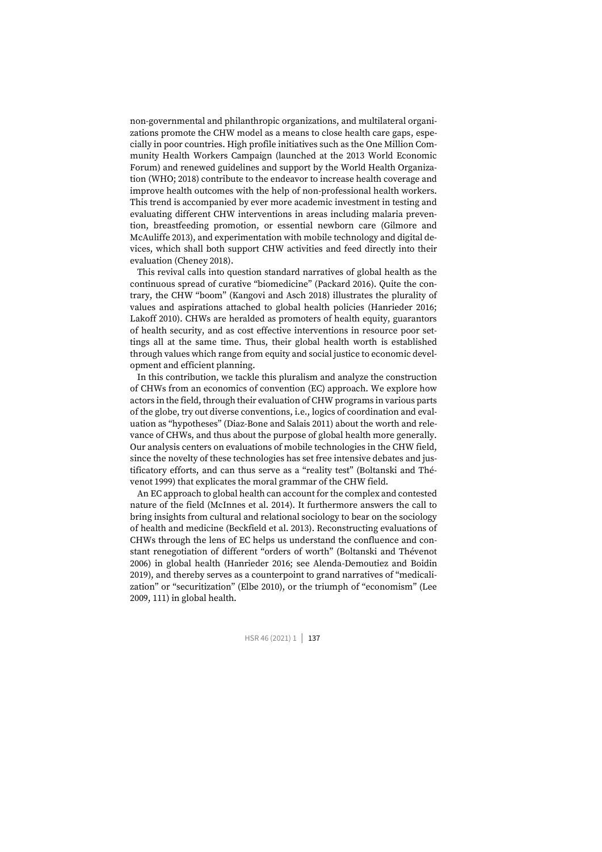non-governmental and philanthropic organizations, and multilateral organizations promote the CHW model as a means to close health care gaps, especially in poor countries. High profile initiatives such as the One Million Community Health Workers Campaign (launched at the 2013 World Economic Forum) and renewed guidelines and support by the World Health Organization (WHO; 2018) contribute to the endeavor to increase health coverage and improve health outcomes with the help of non-professional health workers. This trend is accompanied by ever more academic investment in testing and evaluating different CHW interventions in areas including malaria prevention, breastfeeding promotion, or essential newborn care (Gilmore and McAuliffe 2013), and experimentation with mobile technology and digital devices, which shall both support CHW activities and feed directly into their evaluation (Cheney 2018).

This revival calls into question standard narratives of global health as the continuous spread of curative "biomedicine" (Packard 2016). Quite the contrary, the CHW "boom" (Kangovi and Asch 2018) illustrates the plurality of values and aspirations attached to global health policies (Hanrieder 2016; Lakoff 2010). CHWs are heralded as promoters of health equity, guarantors of health security, and as cost effective interventions in resource poor settings all at the same time. Thus, their global health worth is established through values which range from equity and social justice to economic development and efficient planning.

In this contribution, we tackle this pluralism and analyze the construction of CHWs from an economics of convention (EC) approach. We explore how actors in the field, through their evaluation of CHW programs in various parts of the globe, try out diverse conventions, i.e., logics of coordination and evaluation as "hypotheses" (Diaz-Bone and Salais 2011) about the worth and relevance of CHWs, and thus about the purpose of global health more generally. Our analysis centers on evaluations of mobile technologies in the CHW field, since the novelty of these technologies has set free intensive debates and justificatory efforts, and can thus serve as a "reality test" (Boltanski and Thévenot 1999) that explicates the moral grammar of the CHW field.

An EC approach to global health can account for the complex and contested nature of the field (McInnes et al. 2014). It furthermore answers the call to bring insights from cultural and relational sociology to bear on the sociology of health and medicine (Beckfield et al. 2013). Reconstructing evaluations of CHWs through the lens of EC helps us understand the confluence and constant renegotiation of different "orders of worth" (Boltanski and Thévenot 2006) in global health (Hanrieder 2016; see Alenda-Demoutiez and Boidin 2019), and thereby serves as a counterpoint to grand narratives of "medicalization" or "securitization" (Elbe 2010), or the triumph of "economism" (Lee 2009, 111) in global health.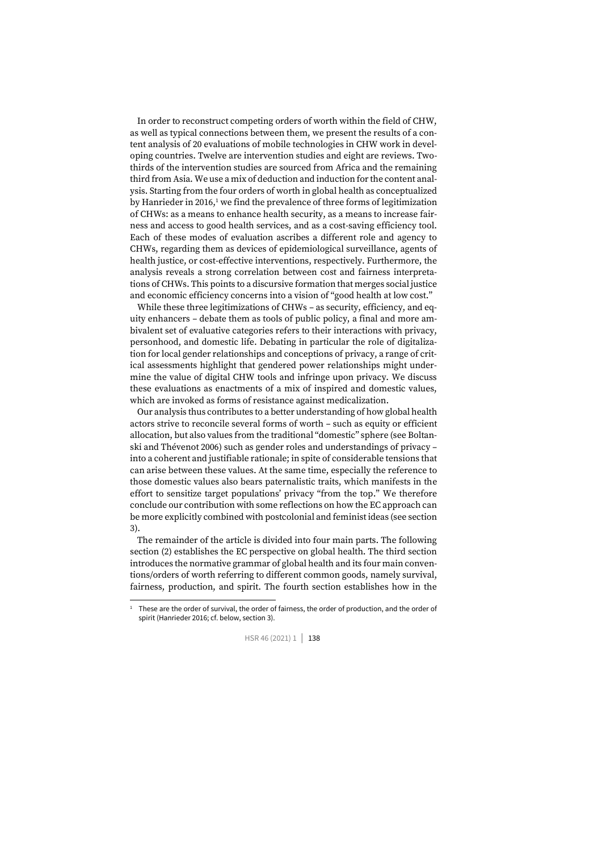In order to reconstruct competing orders of worth within the field of CHW, as well as typical connections between them, we present the results of a content analysis of 20 evaluations of mobile technologies in CHW work in developing countries. Twelve are intervention studies and eight are reviews. Twothirds of the intervention studies are sourced from Africa and the remaining third from Asia. We use a mix of deduction and induction for the content analysis. Starting from the four orders of worth in global health as conceptualized by Hanrieder in 2016, $1$  we find the prevalence of three forms of legitimization of CHWs: as a means to enhance health security, as a means to increase fairness and access to good health services, and as a cost-saving efficiency tool. Each of these modes of evaluation ascribes a different role and agency to CHWs, regarding them as devices of epidemiological surveillance, agents of health justice, or cost-effective interventions, respectively. Furthermore, the analysis reveals a strong correlation between cost and fairness interpretations of CHWs. This points to a discursive formation that merges social justice and economic efficiency concerns into a vision of "good health at low cost."

While these three legitimizations of CHWs – as security, efficiency, and equity enhancers – debate them as tools of public policy, a final and more ambivalent set of evaluative categories refers to their interactions with privacy, personhood, and domestic life. Debating in particular the role of digitalization for local gender relationships and conceptions of privacy, a range of critical assessments highlight that gendered power relationships might undermine the value of digital CHW tools and infringe upon privacy. We discuss these evaluations as enactments of a mix of inspired and domestic values, which are invoked as forms of resistance against medicalization.

Our analysis thus contributes to a better understanding of how global health actors strive to reconcile several forms of worth – such as equity or efficient allocation, but also values from the traditional "domestic" sphere (see Boltanski and Thévenot 2006) such as gender roles and understandings of privacy – into a coherent and justifiable rationale; in spite of considerable tensions that can arise between these values. At the same time, especially the reference to those domestic values also bears paternalistic traits, which manifests in the effort to sensitize target populations' privacy "from the top." We therefore conclude our contribution with some reflections on how the EC approach can be more explicitly combined with postcolonial and feminist ideas (see section 3).

The remainder of the article is divided into four main parts. The following section (2) establishes the EC perspective on global health. The third section introduces the normative grammar of global health and its four main conventions/orders of worth referring to different common goods, namely survival, fairness, production, and spirit. The fourth section establishes how in the

<sup>1</sup> These are the order of survival, the order of fairness, the order of production, and the order of spirit (Hanrieder 2016; cf. below, section 3).

HSR 46 (2021) 1 | 138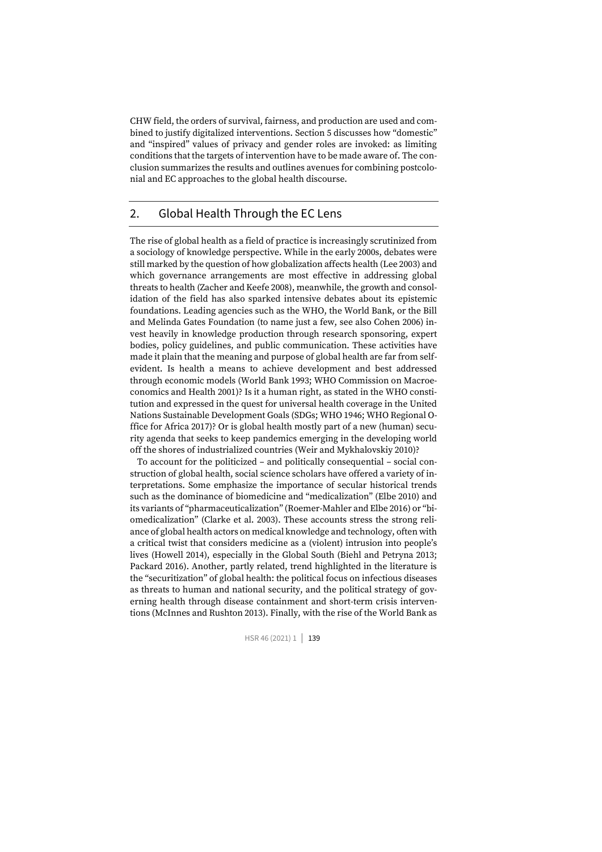CHW field, the orders of survival, fairness, and production are used and combined to justify digitalized interventions. Section 5 discusses how "domestic" and "inspired" values of privacy and gender roles are invoked: as limiting conditions that the targets of intervention have to be made aware of. The conclusion summarizes the results and outlines avenues for combining postcolonial and EC approaches to the global health discourse.

#### 2. Global Health Through the EC Lens

The rise of global health as a field of practice is increasingly scrutinized from a sociology of knowledge perspective. While in the early 2000s, debates were still marked by the question of how globalization affects health (Lee 2003) and which governance arrangements are most effective in addressing global threats to health (Zacher and Keefe 2008), meanwhile, the growth and consolidation of the field has also sparked intensive debates about its epistemic foundations. Leading agencies such as the WHO, the World Bank, or the Bill and Melinda Gates Foundation (to name just a few, see also Cohen 2006) invest heavily in knowledge production through research sponsoring, expert bodies, policy guidelines, and public communication. These activities have made it plain that the meaning and purpose of global health are far from selfevident. Is health a means to achieve development and best addressed through economic models (World Bank 1993; WHO Commission on Macroeconomics and Health 2001)? Is it a human right, as stated in the WHO constitution and expressed in the quest for universal health coverage in the United Nations Sustainable Development Goals (SDGs; WHO 1946; WHO Regional Office for Africa 2017)? Or is global health mostly part of a new (human) security agenda that seeks to keep pandemics emerging in the developing world off the shores of industrialized countries (Weir and Mykhalovskiy 2010)?

To account for the politicized – and politically consequential – social construction of global health, social science scholars have offered a variety of interpretations. Some emphasize the importance of secular historical trends such as the dominance of biomedicine and "medicalization" (Elbe 2010) and its variants of "pharmaceuticalization" (Roemer-Mahler and Elbe 2016) or "biomedicalization" (Clarke et al. 2003). These accounts stress the strong reliance of global health actors on medical knowledge and technology, often with a critical twist that considers medicine as a (violent) intrusion into people's lives (Howell 2014), especially in the Global South (Biehl and Petryna 2013; Packard 2016). Another, partly related, trend highlighted in the literature is the "securitization" of global health: the political focus on infectious diseases as threats to human and national security, and the political strategy of governing health through disease containment and short-term crisis interventions (McInnes and Rushton 2013). Finally, with the rise of the World Bank as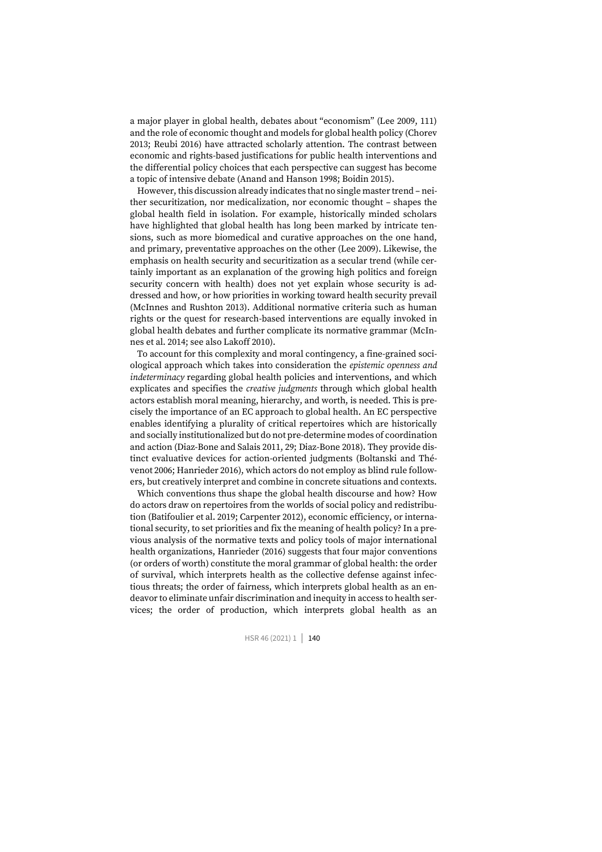a major player in global health, debates about "economism" (Lee 2009, 111) and the role of economic thought and models for global health policy (Chorev 2013; Reubi 2016) have attracted scholarly attention. The contrast between economic and rights-based justifications for public health interventions and the differential policy choices that each perspective can suggest has become a topic of intensive debate (Anand and Hanson 1998; Boidin 2015).

However, this discussion already indicates that no single master trend – neither securitization, nor medicalization, nor economic thought – shapes the global health field in isolation. For example, historically minded scholars have highlighted that global health has long been marked by intricate tensions, such as more biomedical and curative approaches on the one hand, and primary, preventative approaches on the other (Lee 2009). Likewise, the emphasis on health security and securitization as a secular trend (while certainly important as an explanation of the growing high politics and foreign security concern with health) does not yet explain whose security is addressed and how, or how priorities in working toward health security prevail (McInnes and Rushton 2013). Additional normative criteria such as human rights or the quest for research-based interventions are equally invoked in global health debates and further complicate its normative grammar (McInnes et al. 2014; see also Lakoff 2010).

To account for this complexity and moral contingency, a fine-grained sociological approach which takes into consideration the *epistemic openness and indeterminacy* regarding global health policies and interventions, and which explicates and specifies the *creative judgments* through which global health actors establish moral meaning, hierarchy, and worth, is needed. This is precisely the importance of an EC approach to global health. An EC perspective enables identifying a plurality of critical repertoires which are historically and socially institutionalized but do not pre-determine modes of coordination and action (Diaz-Bone and Salais 2011, 29; Diaz-Bone 2018). They provide distinct evaluative devices for action-oriented judgments (Boltanski and Thévenot 2006; Hanrieder 2016), which actors do not employ as blind rule followers, but creatively interpret and combine in concrete situations and contexts.

Which conventions thus shape the global health discourse and how? How do actors draw on repertoires from the worlds of social policy and redistribution (Batifoulier et al. 2019; Carpenter 2012), economic efficiency, or international security, to set priorities and fix the meaning of health policy? In a previous analysis of the normative texts and policy tools of major international health organizations, Hanrieder (2016) suggests that four major conventions (or orders of worth) constitute the moral grammar of global health: the order of survival, which interprets health as the collective defense against infectious threats; the order of fairness, which interprets global health as an endeavor to eliminate unfair discrimination and inequity in access to health services; the order of production, which interprets global health as an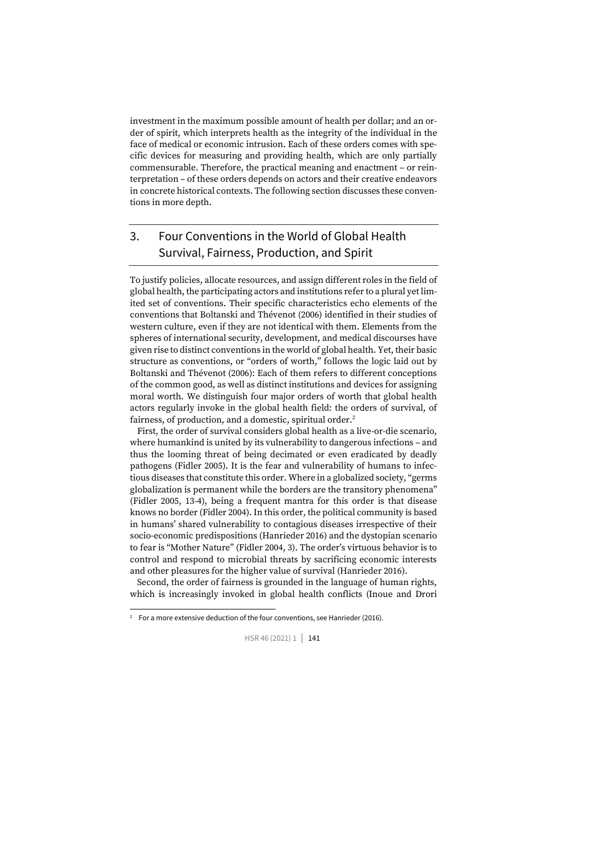investment in the maximum possible amount of health per dollar; and an order of spirit, which interprets health as the integrity of the individual in the face of medical or economic intrusion. Each of these orders comes with specific devices for measuring and providing health, which are only partially commensurable. Therefore, the practical meaning and enactment – or reinterpretation – of these orders depends on actors and their creative endeavors in concrete historical contexts. The following section discusses these conventions in more depth.

## 3. Four Conventions in the World of Global Health Survival, Fairness, Production, and Spirit

To justify policies, allocate resources, and assign different roles in the field of global health, the participating actors and institutions refer to a plural yet limited set of conventions. Their specific characteristics echo elements of the conventions that Boltanski and Thévenot (2006) identified in their studies of western culture, even if they are not identical with them. Elements from the spheres of international security, development, and medical discourses have given rise to distinct conventions in the world of global health. Yet, their basic structure as conventions, or "orders of worth," follows the logic laid out by Boltanski and Thévenot (2006): Each of them refers to different conceptions of the common good, as well as distinct institutions and devices for assigning moral worth. We distinguish four major orders of worth that global health actors regularly invoke in the global health field: the orders of survival, of fairness, of production, and a domestic, spiritual order.<sup>2</sup>

First, the order of survival considers global health as a live-or-die scenario, where humankind is united by its vulnerability to dangerous infections – and thus the looming threat of being decimated or even eradicated by deadly pathogens (Fidler 2005). It is the fear and vulnerability of humans to infectious diseases that constitute this order. Where in a globalized society, "germs globalization is permanent while the borders are the transitory phenomena" (Fidler 2005, 13-4), being a frequent mantra for this order is that disease knows no border (Fidler 2004). In this order, the political community is based in humans' shared vulnerability to contagious diseases irrespective of their socio-economic predispositions (Hanrieder 2016) and the dystopian scenario to fear is "Mother Nature" (Fidler 2004, 3). The order's virtuous behavior is to control and respond to microbial threats by sacrificing economic interests and other pleasures for the higher value of survival (Hanrieder 2016).

Second, the order of fairness is grounded in the language of human rights, which is increasingly invoked in global health conflicts (Inoue and Drori

<sup>&</sup>lt;sup>2</sup> For a more extensive deduction of the four conventions, see Hanrieder (2016).

HSR 46 (2021) 1 | 141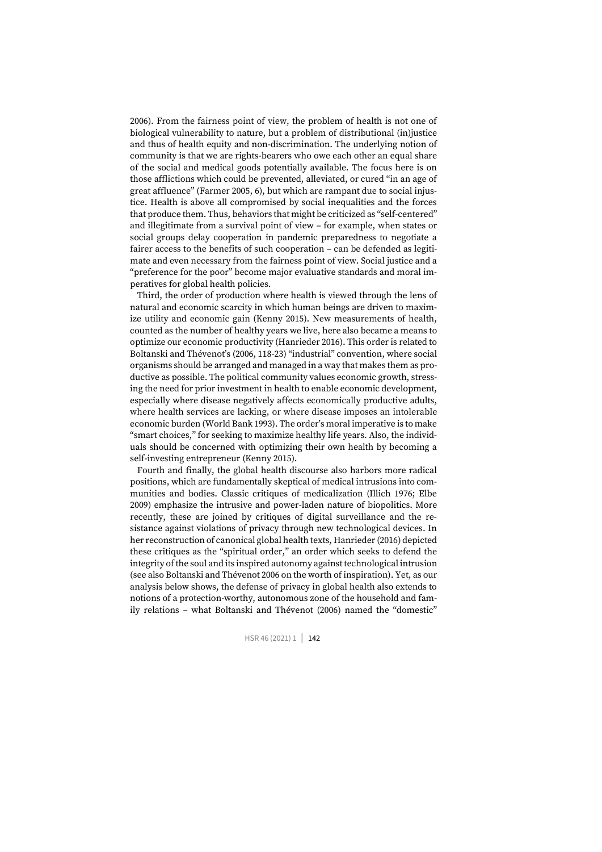2006). From the fairness point of view, the problem of health is not one of biological vulnerability to nature, but a problem of distributional (in)justice and thus of health equity and non-discrimination. The underlying notion of community is that we are rights-bearers who owe each other an equal share of the social and medical goods potentially available. The focus here is on those afflictions which could be prevented, alleviated, or cured "in an age of great affluence" (Farmer 2005, 6), but which are rampant due to social injustice. Health is above all compromised by social inequalities and the forces that produce them. Thus, behaviors that might be criticized as "self-centered" and illegitimate from a survival point of view – for example, when states or social groups delay cooperation in pandemic preparedness to negotiate a fairer access to the benefits of such cooperation – can be defended as legitimate and even necessary from the fairness point of view. Social justice and a "preference for the poor" become major evaluative standards and moral imperatives for global health policies.

Third, the order of production where health is viewed through the lens of natural and economic scarcity in which human beings are driven to maximize utility and economic gain (Kenny 2015). New measurements of health, counted as the number of healthy years we live, here also became a means to optimize our economic productivity (Hanrieder 2016). This order is related to Boltanski and Thévenot's (2006, 118-23) "industrial" convention, where social organisms should be arranged and managed in a way that makes them as productive as possible. The political community values economic growth, stressing the need for prior investment in health to enable economic development, especially where disease negatively affects economically productive adults, where health services are lacking, or where disease imposes an intolerable economic burden (World Bank 1993). The order's moral imperative is to make "smart choices," for seeking to maximize healthy life years. Also, the individuals should be concerned with optimizing their own health by becoming a self-investing entrepreneur (Kenny 2015).

Fourth and finally, the global health discourse also harbors more radical positions, which are fundamentally skeptical of medical intrusions into communities and bodies. Classic critiques of medicalization (Illich 1976; Elbe 2009) emphasize the intrusive and power-laden nature of biopolitics. More recently, these are joined by critiques of digital surveillance and the resistance against violations of privacy through new technological devices. In her reconstruction of canonical global health texts, Hanrieder (2016) depicted these critiques as the "spiritual order," an order which seeks to defend the integrity of the soul and its inspired autonomy against technological intrusion (see also Boltanski and Thévenot 2006 on the worth of inspiration). Yet, as our analysis below shows, the defense of privacy in global health also extends to notions of a protection-worthy, autonomous zone of the household and family relations – what Boltanski and Thévenot (2006) named the "domestic"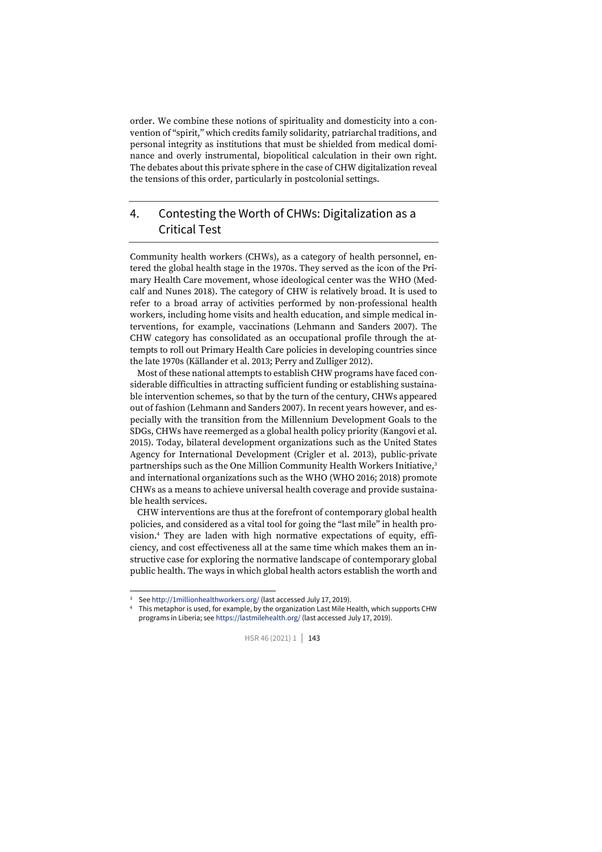order. We combine these notions of spirituality and domesticity into a convention of "spirit," which credits family solidarity, patriarchal traditions, and personal integrity as institutions that must be shielded from medical dominance and overly instrumental, biopolitical calculation in their own right. The debates about this private sphere in the case of CHW digitalization reveal the tensions of this order, particularly in postcolonial settings.

### 4. Contesting the Worth of CHWs: Digitalization as a Critical Test

Community health workers (CHWs), as a category of health personnel, entered the global health stage in the 1970s. They served as the icon of the Primary Health Care movement, whose ideological center was the WHO (Medcalf and Nunes 2018). The category of CHW is relatively broad. It is used to refer to a broad array of activities performed by non-professional health workers, including home visits and health education, and simple medical interventions, for example, vaccinations (Lehmann and Sanders 2007). The CHW category has consolidated as an occupational profile through the attempts to roll out Primary Health Care policies in developing countries since the late 1970s (Källander et al. 2013; Perry and Zulliger 2012).

Most of these national attempts to establish CHW programs have faced considerable difficulties in attracting sufficient funding or establishing sustainable intervention schemes, so that by the turn of the century, CHWs appeared out of fashion (Lehmann and Sanders 2007). In recent years however, and especially with the transition from the Millennium Development Goals to the SDGs, CHWs have reemerged as a global health policy priority (Kangovi et al. 2015). Today, bilateral development organizations such as the United States Agency for International Development (Crigler et al. 2013), public-private partnerships such as the One Million Community Health Workers Initiative,<sup>3</sup> and international organizations such as the WHO (WHO 2016; 2018) promote CHWs as a means to achieve universal health coverage and provide sustainable health services.

CHW interventions are thus at the forefront of contemporary global health policies, and considered as a vital tool for going the "last mile" in health provision.<sup>4</sup> They are laden with high normative expectations of equity, efficiency, and cost effectiveness all at the same time which makes them an instructive case for exploring the normative landscape of contemporary global public health. The ways in which global health actors establish the worth and

<sup>3</sup> Se[e http://1millionhealthworkers.org/](http://1millionhealthworkers.org/) (last accessed July 17, 2019).

<sup>4</sup> This metaphor is used, for example, by the organization Last Mile Health, which supports CHW programs in Liberia; se[e https://lastmilehealth.org/](https://lastmilehealth.org/) (last accessed July 17, 2019).

HSR 46 (2021) 1 | 143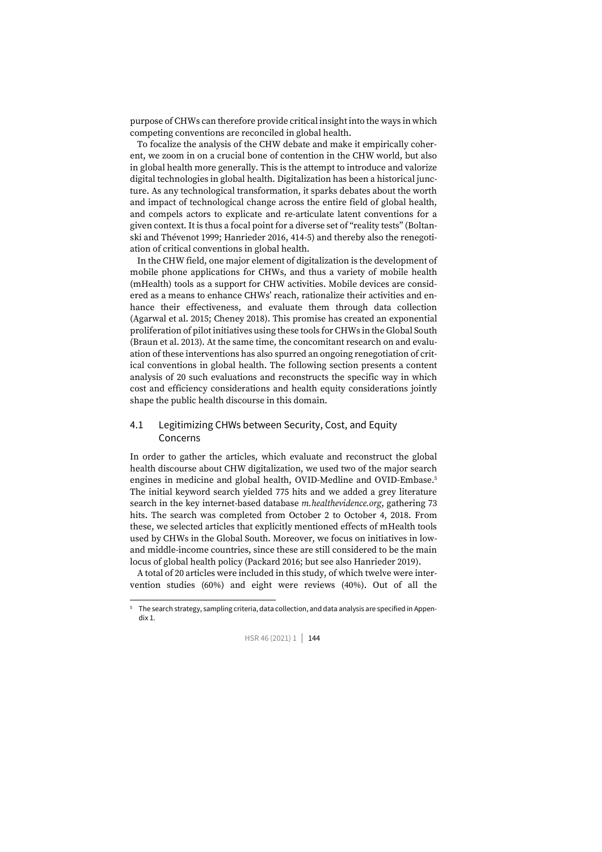purpose of CHWs can therefore provide critical insight into the ways in which competing conventions are reconciled in global health.

To focalize the analysis of the CHW debate and make it empirically coherent, we zoom in on a crucial bone of contention in the CHW world, but also in global health more generally. This is the attempt to introduce and valorize digital technologies in global health. Digitalization has been a historical juncture. As any technological transformation, it sparks debates about the worth and impact of technological change across the entire field of global health, and compels actors to explicate and re-articulate latent conventions for a given context. It is thus a focal point for a diverse set of "reality tests" (Boltanski and Thévenot 1999; Hanrieder 2016, 414-5) and thereby also the renegotiation of critical conventions in global health.

In the CHW field, one major element of digitalization is the development of mobile phone applications for CHWs, and thus a variety of mobile health (mHealth) tools as a support for CHW activities. Mobile devices are considered as a means to enhance CHWs' reach, rationalize their activities and enhance their effectiveness, and evaluate them through data collection (Agarwal et al. 2015; Cheney 2018). This promise has created an exponential proliferation of pilot initiatives using these tools for CHWs in the Global South (Braun et al. 2013). At the same time, the concomitant research on and evaluation of these interventions has also spurred an ongoing renegotiation of critical conventions in global health. The following section presents a content analysis of 20 such evaluations and reconstructs the specific way in which cost and efficiency considerations and health equity considerations jointly shape the public health discourse in this domain.

#### 4.1 Legitimizing CHWs between Security, Cost, and Equity Concerns

In order to gather the articles, which evaluate and reconstruct the global health discourse about CHW digitalization, we used two of the major search engines in medicine and global health, OVID-Medline and OVID-Embase.<sup>5</sup> The initial keyword search yielded 775 hits and we added a grey literature search in the key internet-based database *m.healthevidence.org*, gathering 73 hits. The search was completed from October 2 to October 4, 2018. From these, we selected articles that explicitly mentioned effects of mHealth tools used by CHWs in the Global South. Moreover, we focus on initiatives in lowand middle-income countries, since these are still considered to be the main locus of global health policy (Packard 2016; but see also Hanrieder 2019).

A total of 20 articles were included in this study, of which twelve were intervention studies (60%) and eight were reviews (40%). Out of all the

<sup>5</sup> The search strategy, sampling criteria, data collection, and data analysis are specified in Appendix 1.

HSR 46 (2021) 1 | 144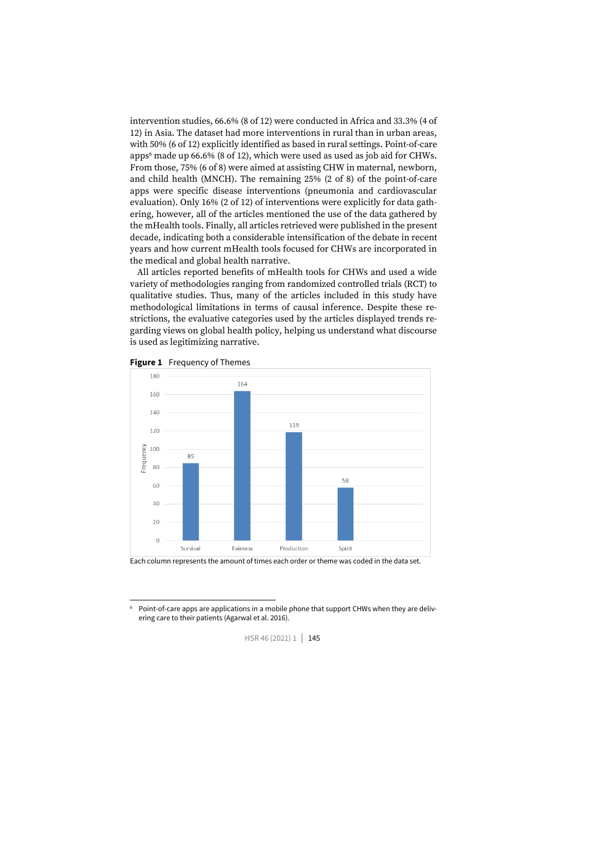intervention studies, 66.6% (8 of 12) were conducted in Africa and 33.3% (4 of 12) in Asia. The dataset had more interventions in rural than in urban areas, with 50% (6 of 12) explicitly identified as based in rural settings. Point-of-care apps<sup>6</sup> made up 66.6% (8 of 12), which were used as used as job aid for CHWs. From those, 75% (6 of 8) were aimed at assisting CHW in maternal, newborn, and child health (MNCH). The remaining 25% (2 of 8) of the point-of-care apps were specific disease interventions (pneumonia and cardiovascular evaluation). Only 16% (2 of 12) of interventions were explicitly for data gathering, however, all of the articles mentioned the use of the data gathered by the mHealth tools. Finally, all articles retrieved were published in the present decade, indicating both a considerable intensification of the debate in recent years and how current mHealth tools focused for CHWs are incorporated in the medical and global health narrative.

All articles reported benefits of mHealth tools for CHWs and used a wide variety of methodologies ranging from randomized controlled trials (RCT) to qualitative studies. Thus, many of the articles included in this study have methodological limitations in terms of causal inference. Despite these restrictions, the evaluative categories used by the articles displayed trends regarding views on global health policy, helping us understand what discourse is used as legitimizing narrative.





Each column represents the amount of times each order or theme was coded in the data set.

Point-of-care apps are applications in a mobile phone that support CHWs when they are delivering care to their patients (Agarwal et al. 2016).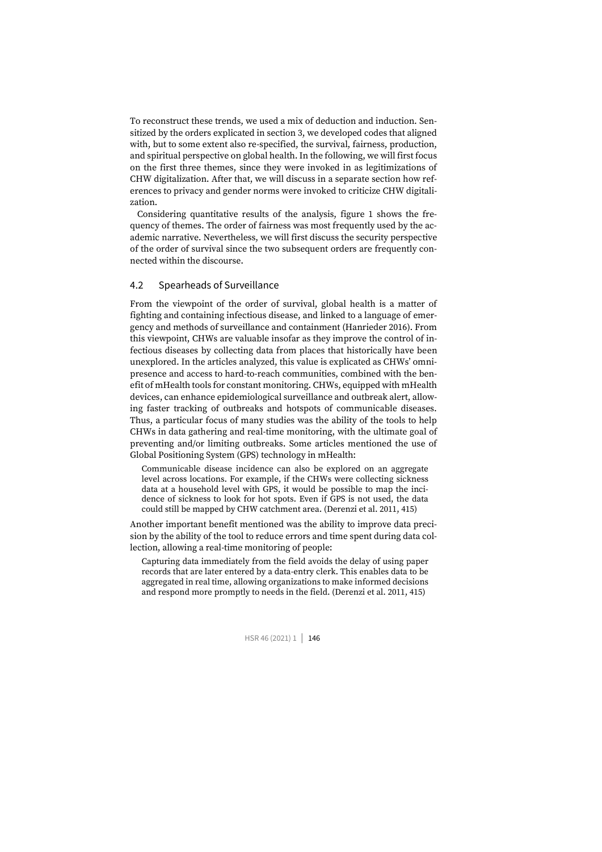To reconstruct these trends, we used a mix of deduction and induction. Sensitized by the orders explicated in section 3, we developed codes that aligned with, but to some extent also re-specified, the survival, fairness, production, and spiritual perspective on global health. In the following, we will first focus on the first three themes, since they were invoked in as legitimizations of CHW digitalization. After that, we will discuss in a separate section how references to privacy and gender norms were invoked to criticize CHW digitalization.

Considering quantitative results of the analysis, figure 1 shows the frequency of themes. The order of fairness was most frequently used by the academic narrative. Nevertheless, we will first discuss the security perspective of the order of survival since the two subsequent orders are frequently connected within the discourse.

#### 4.2 Spearheads of Surveillance

From the viewpoint of the order of survival, global health is a matter of fighting and containing infectious disease, and linked to a language of emergency and methods of surveillance and containment (Hanrieder 2016). From this viewpoint, CHWs are valuable insofar as they improve the control of infectious diseases by collecting data from places that historically have been unexplored. In the articles analyzed, this value is explicated as CHWs' omnipresence and access to hard-to-reach communities, combined with the benefit of mHealth tools for constant monitoring. CHWs, equipped with mHealth devices, can enhance epidemiological surveillance and outbreak alert, allowing faster tracking of outbreaks and hotspots of communicable diseases. Thus, a particular focus of many studies was the ability of the tools to help CHWs in data gathering and real-time monitoring, with the ultimate goal of preventing and/or limiting outbreaks. Some articles mentioned the use of Global Positioning System (GPS) technology in mHealth:

Communicable disease incidence can also be explored on an aggregate level across locations. For example, if the CHWs were collecting sickness data at a household level with GPS, it would be possible to map the incidence of sickness to look for hot spots. Even if GPS is not used, the data could still be mapped by CHW catchment area. (Derenzi et al. 2011, 415)

Another important benefit mentioned was the ability to improve data precision by the ability of the tool to reduce errors and time spent during data collection, allowing a real-time monitoring of people:

Capturing data immediately from the field avoids the delay of using paper records that are later entered by a data-entry clerk. This enables data to be aggregated in real time, allowing organizations to make informed decisions and respond more promptly to needs in the field. (Derenzi et al. 2011, 415)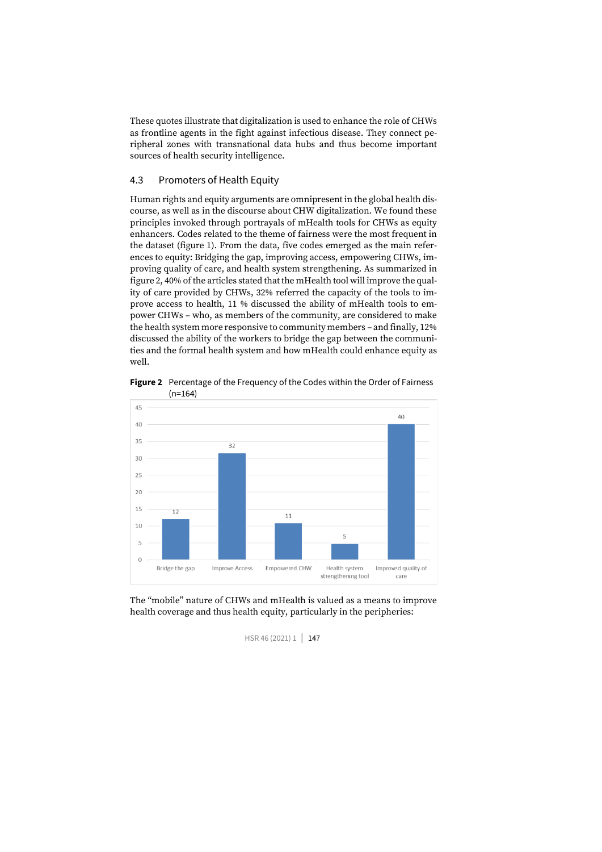These quotes illustrate that digitalization is used to enhance the role of CHWs as frontline agents in the fight against infectious disease. They connect peripheral zones with transnational data hubs and thus become important sources of health security intelligence.

#### 4.3 Promoters of Health Equity

Human rights and equity arguments are omnipresent in the global health discourse, as well as in the discourse about CHW digitalization. We found these principles invoked through portrayals of mHealth tools for CHWs as equity enhancers. Codes related to the theme of fairness were the most frequent in the dataset (figure 1). From the data, five codes emerged as the main references to equity: Bridging the gap, improving access, empowering CHWs, improving quality of care, and health system strengthening. As summarized in figure 2, 40% of the articles stated that the mHealth tool will improve the quality of care provided by CHWs, 32% referred the capacity of the tools to improve access to health, 11 % discussed the ability of mHealth tools to empower CHWs – who, as members of the community, are considered to make the health system more responsive to community members – and finally, 12% discussed the ability of the workers to bridge the gap between the communities and the formal health system and how mHealth could enhance equity as well.

**Figure 2** Percentage of the Frequency of the Codes within the Order of Fairness  $(n=164)$ 



The "mobile" nature of CHWs and mHealth is valued as a means to improve health coverage and thus health equity, particularly in the peripheries: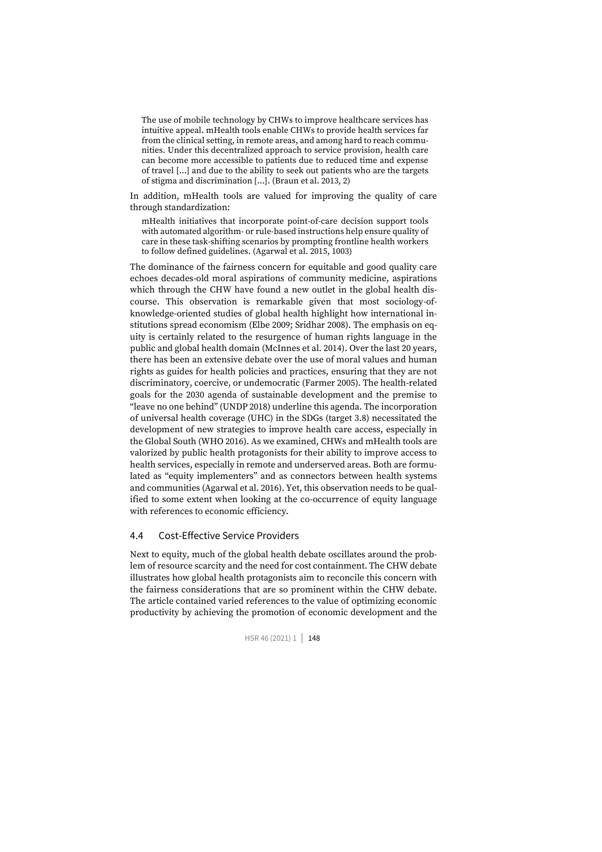The use of mobile technology by CHWs to improve healthcare services has intuitive appeal. mHealth tools enable CHWs to provide health services far from the clinical setting, in remote areas, and among hard to reach communities. Under this decentralized approach to service provision, health care can become more accessible to patients due to reduced time and expense of travel […] and due to the ability to seek out patients who are the targets of stigma and discrimination […]. (Braun et al. 2013, 2)

In addition, mHealth tools are valued for improving the quality of care through standardization:

mHealth initiatives that incorporate point-of-care decision support tools with automated algorithm- or rule-based instructions help ensure quality of care in these task-shifting scenarios by prompting frontline health workers to follow defined guidelines. (Agarwal et al. 2015, 1003)

The dominance of the fairness concern for equitable and good quality care echoes decades-old moral aspirations of community medicine, aspirations which through the CHW have found a new outlet in the global health discourse. This observation is remarkable given that most sociology-ofknowledge-oriented studies of global health highlight how international institutions spread economism (Elbe 2009; Sridhar 2008). The emphasis on equity is certainly related to the resurgence of human rights language in the public and global health domain (McInnes et al. 2014). Over the last 20 years, there has been an extensive debate over the use of moral values and human rights as guides for health policies and practices, ensuring that they are not discriminatory, coercive, or undemocratic (Farmer 2005). The health-related goals for the 2030 agenda of sustainable development and the premise to "leave no one behind" (UNDP 2018) underline this agenda. The incorporation of universal health coverage (UHC) in the SDGs (target 3.8) necessitated the development of new strategies to improve health care access, especially in the Global South (WHO 2016). As we examined, CHWs and mHealth tools are valorized by public health protagonists for their ability to improve access to health services, especially in remote and underserved areas. Both are formulated as "equity implementers" and as connectors between health systems and communities (Agarwal et al. 2016). Yet, this observation needs to be qualified to some extent when looking at the co-occurrence of equity language with references to economic efficiency.

#### 4.4 Cost-Effective Service Providers

Next to equity, much of the global health debate oscillates around the problem of resource scarcity and the need for cost containment. The CHW debate illustrates how global health protagonists aim to reconcile this concern with the fairness considerations that are so prominent within the CHW debate. The article contained varied references to the value of optimizing economic productivity by achieving the promotion of economic development and the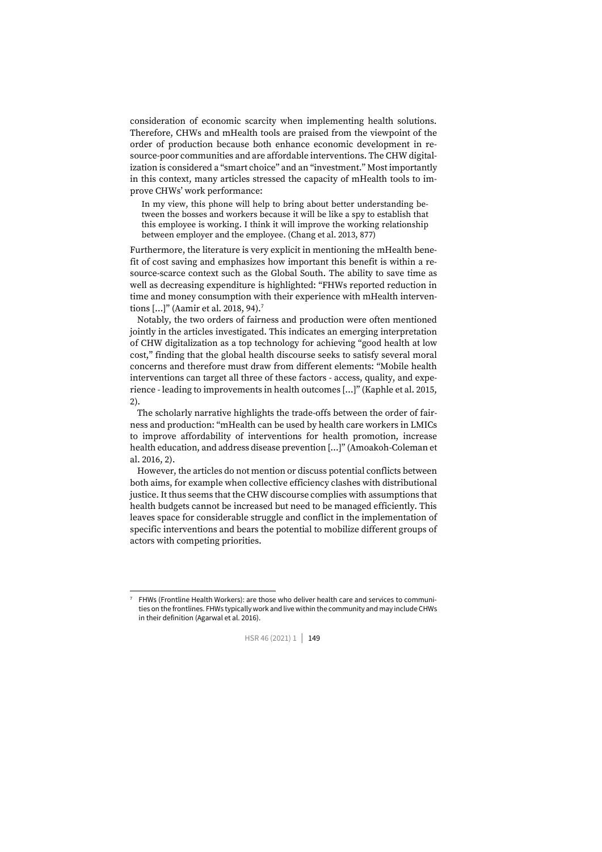consideration of economic scarcity when implementing health solutions. Therefore, CHWs and mHealth tools are praised from the viewpoint of the order of production because both enhance economic development in resource-poor communities and are affordable interventions. The CHW digitalization is considered a "smart choice" and an "investment." Most importantly in this context, many articles stressed the capacity of mHealth tools to improve CHWs' work performance:

In my view, this phone will help to bring about better understanding between the bosses and workers because it will be like a spy to establish that this employee is working. I think it will improve the working relationship between employer and the employee. (Chang et al. 2013, 877)

Furthermore, the literature is very explicit in mentioning the mHealth benefit of cost saving and emphasizes how important this benefit is within a resource-scarce context such as the Global South. The ability to save time as well as decreasing expenditure is highlighted: "FHWs reported reduction in time and money consumption with their experience with mHealth interventions [...]" (Aamir et al. 2018, 94).<sup>7</sup>

Notably, the two orders of fairness and production were often mentioned jointly in the articles investigated. This indicates an emerging interpretation of CHW digitalization as a top technology for achieving "good health at low cost," finding that the global health discourse seeks to satisfy several moral concerns and therefore must draw from different elements: "Mobile health interventions can target all three of these factors - access, quality, and experience - leading to improvements in health outcomes […]" (Kaphle et al. 2015, 2).

The scholarly narrative highlights the trade-offs between the order of fairness and production: "mHealth can be used by health care workers in LMICs to improve affordability of interventions for health promotion, increase health education, and address disease prevention […]" (Amoakoh-Coleman et al. 2016, 2).

However, the articles do not mention or discuss potential conflicts between both aims, for example when collective efficiency clashes with distributional justice. It thus seems that the CHW discourse complies with assumptions that health budgets cannot be increased but need to be managed efficiently. This leaves space for considerable struggle and conflict in the implementation of specific interventions and bears the potential to mobilize different groups of actors with competing priorities.

<sup>7</sup> FHWs (Frontline Health Workers): are those who deliver health care and services to communities on the frontlines. FHWs typically work and live within the community and may include CHWs in their definition (Agarwal et al. 2016).

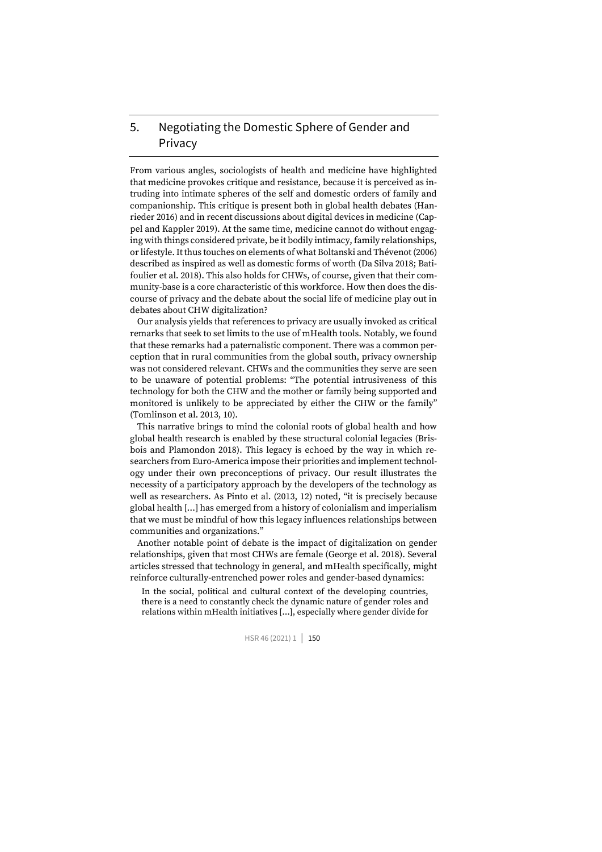## 5. Negotiating the Domestic Sphere of Gender and Privacy

From various angles, sociologists of health and medicine have highlighted that medicine provokes critique and resistance, because it is perceived as intruding into intimate spheres of the self and domestic orders of family and companionship. This critique is present both in global health debates (Hanrieder 2016) and in recent discussions about digital devices in medicine (Cappel and Kappler 2019). At the same time, medicine cannot do without engaging with things considered private, be it bodily intimacy, family relationships, or lifestyle. It thus touches on elements of what Boltanski and Thévenot (2006) described as inspired as well as domestic forms of worth (Da Silva 2018; Batifoulier et al. 2018). This also holds for CHWs, of course, given that their community-base is a core characteristic of this workforce. How then does the discourse of privacy and the debate about the social life of medicine play out in debates about CHW digitalization?

Our analysis yields that references to privacy are usually invoked as critical remarks that seek to set limits to the use of mHealth tools. Notably, we found that these remarks had a paternalistic component. There was a common perception that in rural communities from the global south, privacy ownership was not considered relevant. CHWs and the communities they serve are seen to be unaware of potential problems: "The potential intrusiveness of this technology for both the CHW and the mother or family being supported and monitored is unlikely to be appreciated by either the CHW or the family" (Tomlinson et al. 2013, 10).

This narrative brings to mind the colonial roots of global health and how global health research is enabled by these structural colonial legacies (Brisbois and Plamondon 2018). This legacy is echoed by the way in which researchers from Euro-America impose their priorities and implement technology under their own preconceptions of privacy. Our result illustrates the necessity of a participatory approach by the developers of the technology as well as researchers. As Pinto et al. (2013, 12) noted, "it is precisely because global health […] has emerged from a history of colonialism and imperialism that we must be mindful of how this legacy influences relationships between communities and organizations."

Another notable point of debate is the impact of digitalization on gender relationships, given that most CHWs are female (George et al. 2018). Several articles stressed that technology in general, and mHealth specifically, might reinforce culturally-entrenched power roles and gender-based dynamics:

In the social, political and cultural context of the developing countries, there is a need to constantly check the dynamic nature of gender roles and relations within mHealth initiatives […], especially where gender divide for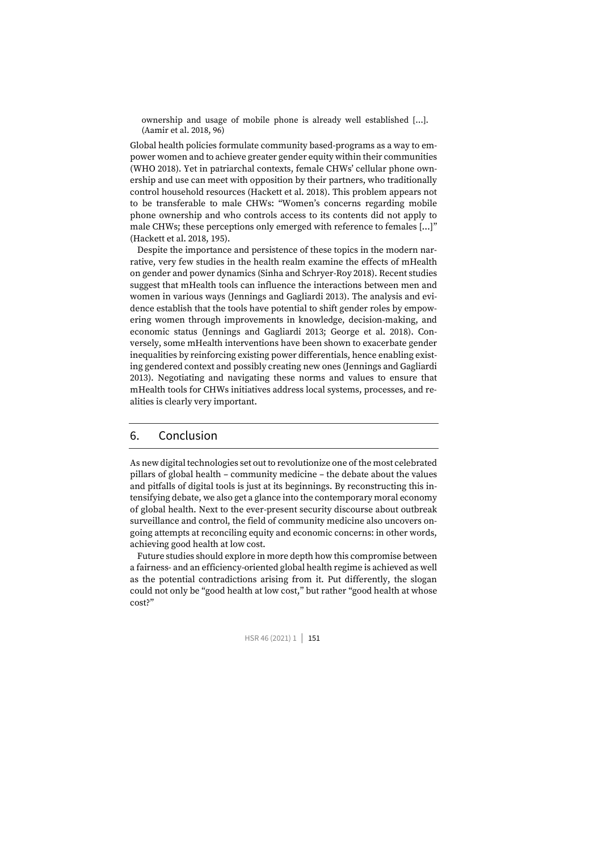ownership and usage of mobile phone is already well established […]. (Aamir et al. 2018, 96)

Global health policies formulate community based-programs as a way to empower women and to achieve greater gender equity within their communities (WHO 2018). Yet in patriarchal contexts, female CHWs' cellular phone ownership and use can meet with opposition by their partners, who traditionally control household resources (Hackett et al. 2018). This problem appears not to be transferable to male CHWs: "Women's concerns regarding mobile phone ownership and who controls access to its contents did not apply to male CHWs; these perceptions only emerged with reference to females […]" (Hackett et al. 2018, 195).

Despite the importance and persistence of these topics in the modern narrative, very few studies in the health realm examine the effects of mHealth on gender and power dynamics (Sinha and Schryer-Roy 2018). Recent studies suggest that mHealth tools can influence the interactions between men and women in various ways (Jennings and Gagliardi 2013). The analysis and evidence establish that the tools have potential to shift gender roles by empowering women through improvements in knowledge, decision-making, and economic status (Jennings and Gagliardi 2013; George et al. 2018). Conversely, some mHealth interventions have been shown to exacerbate gender inequalities by reinforcing existing power differentials, hence enabling existing gendered context and possibly creating new ones (Jennings and Gagliardi 2013). Negotiating and navigating these norms and values to ensure that mHealth tools for CHWs initiatives address local systems, processes, and realities is clearly very important.

#### 6. Conclusion

As new digital technologies set out to revolutionize one of the most celebrated pillars of global health – community medicine – the debate about the values and pitfalls of digital tools is just at its beginnings. By reconstructing this intensifying debate, we also get a glance into the contemporary moral economy of global health. Next to the ever-present security discourse about outbreak surveillance and control, the field of community medicine also uncovers ongoing attempts at reconciling equity and economic concerns: in other words, achieving good health at low cost.

Future studies should explore in more depth how this compromise between a fairness- and an efficiency-oriented global health regime is achieved as well as the potential contradictions arising from it. Put differently, the slogan could not only be "good health at low cost," but rather "good health at whose cost?"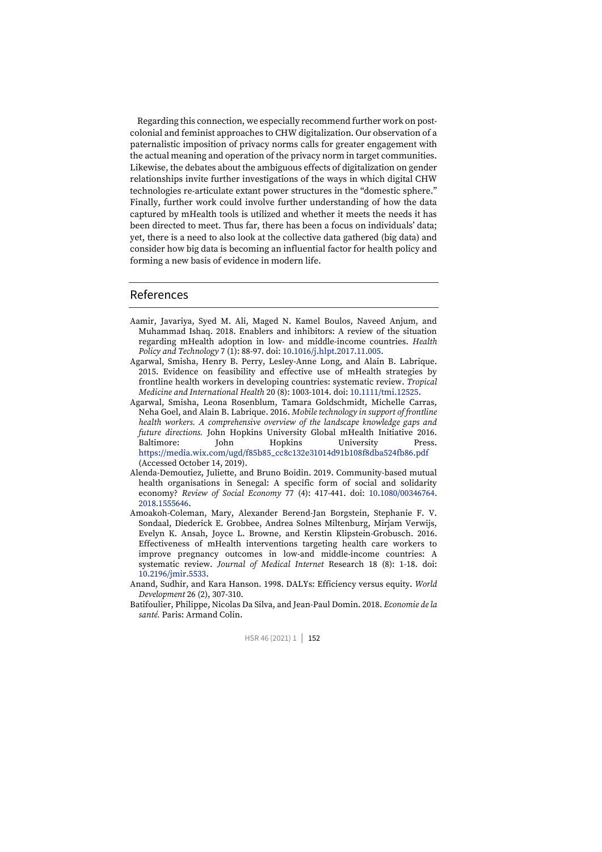Regarding this connection, we especially recommend further work on postcolonial and feminist approaches to CHW digitalization. Our observation of a paternalistic imposition of privacy norms calls for greater engagement with the actual meaning and operation of the privacy norm in target communities. Likewise, the debates about the ambiguous effects of digitalization on gender relationships invite further investigations of the ways in which digital CHW technologies re-articulate extant power structures in the "domestic sphere." Finally, further work could involve further understanding of how the data captured by mHealth tools is utilized and whether it meets the needs it has been directed to meet. Thus far, there has been a focus on individuals' data; yet, there is a need to also look at the collective data gathered (big data) and consider how big data is becoming an influential factor for health policy and forming a new basis of evidence in modern life.

#### References

- Aamir, Javariya, Syed M. Ali, Maged N. Kamel Boulos, Naveed Anjum, and Muhammad Ishaq. 2018. Enablers and inhibitors: A review of the situation regarding mHealth adoption in low- and middle-income countries. *Health Policy and Technology* 7 (1): 88-97. doi: [10.1016/j.hlpt.2017.11.005.](https://doi.org/10.1016/j.hlpt.2017.11.005)
- Agarwal, Smisha, Henry B. Perry, Lesley-Anne Long, and Alain B. Labrique. 2015. Evidence on feasibility and effective use of mHealth strategies by frontline health workers in developing countries: systematic review. *Tropical Medicine and International Health* 20 (8): 1003-1014. doi[: 10.1111/tmi.12525.](https://doi.org/10.1111/tmi.12525)
- Agarwal, Smisha, Leona Rosenblum, Tamara Goldschmidt, Michelle Carras, Neha Goel, and Alain B. Labrique. 2016. *Mobile technology in support of frontline health workers. A comprehensive overview of the landscape knowledge gaps and future directions.* John Hopkins University Global mHealth Initiative 2016. Baltimore: John Hopkins University Press. [https://media.wix.com/ugd/f85b85\\_cc8c132e31014d91b108f8dba524fb86.pdf](https://media.wix.com/ugd/f85b85_cc8c132e31014d91b108f8dba524fb86.pdf) (Accessed October 14, 2019).
- Alenda-Demoutiez, Juliette, and Bruno Boidin. 2019. Community-based mutual health organisations in Senegal: A specific form of social and solidarity economy? *Review of Social Economy* 77 (4): 417-441. doi: [10.1080/00346764.](https://doi.org/10.1080/00346764.2018.1555646) [2018.1555646.](https://doi.org/10.1080/00346764.2018.1555646)
- Amoakoh-Coleman, Mary, Alexander Berend-Jan Borgstein, Stephanie F. V. Sondaal, Diederick E. Grobbee, Andrea Solnes Miltenburg, Mirjam Verwijs, Evelyn K. Ansah, Joyce L. Browne, and Kerstin Klipstein-Grobusch. 2016. Effectiveness of mHealth interventions targeting health care workers to improve pregnancy outcomes in low-and middle-income countries: A systematic review. *Journal of Medical Internet* Research 18 (8): 1-18. doi: [10.2196/jmir.5533.](https://doi.org/10.2196/jmir.5533)
- Anand, Sudhir, and Kara Hanson. 1998. DALYs: Efficiency versus equity. *World Development* 26 (2), 307-310.
- Batifoulier, Philippe, Nicolas Da Silva, and Jean-Paul Domin. 2018. *Economie de la santé.* Paris: Armand Colin.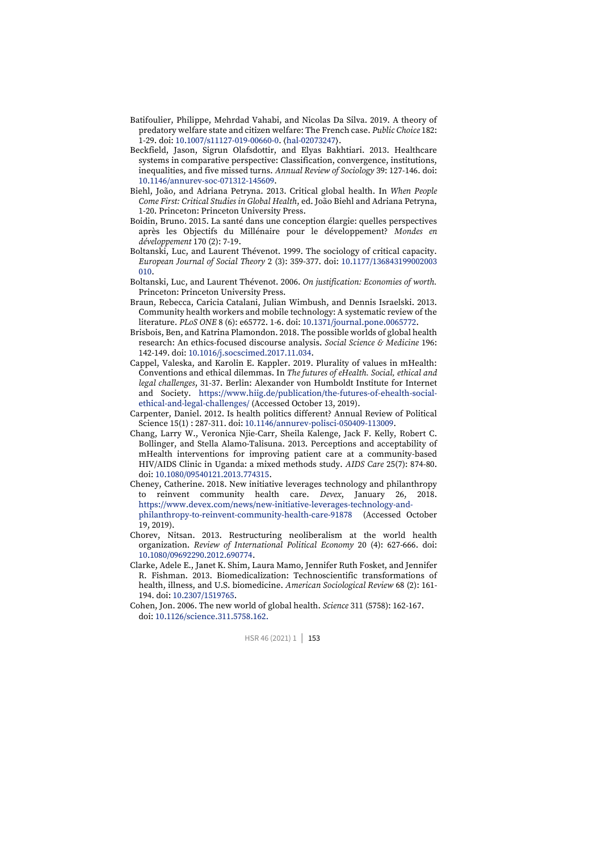- Batifoulier, Philippe, Mehrdad Vahabi, and Nicolas Da Silva. 2019. A theory of predatory welfare state and citizen welfare: The French case. *Public Choice* 182: 1-29. doi[: 10.1007/s11127-019-00660-0.](https://doi.org/10.1007/s11127-019-00660-0) ⟨[hal-02073247](https://hal.archives-ouvertes.fr/hal-02073247)⟩.
- Beckfield, Jason, Sigrun Olafsdottir, and Elyas Bakhtiari. 2013. Healthcare systems in comparative perspective: Classification, convergence, institutions, inequalities, and five missed turns. *Annual Review of Sociology* 39: 127-146. doi: [10.1146/annurev-soc-071312-145609.](https://doi.org/10.1146/annurev-soc-071312-145609)
- Biehl, João, and Adriana Petryna. 2013. Critical global health. In *When People Come First: Critical Studies in Global Health*, ed. João Biehl and Adriana Petryna, 1-20. Princeton: Princeton University Press.
- Boidin, Bruno. 2015. La santé dans une conception élargie: quelles perspectives après les Objectifs du Millénaire pour le développement? *Mondes en développement* 170 (2): 7-19.
- Boltanski, Luc, and Laurent Thévenot. 1999. The sociology of critical capacity. *European Journal of Social Theory* 2 (3): 359-377. doi[: 10.1177/136843199002003](https://doi.org/10.1177%2F136843199002003010) [010.](https://doi.org/10.1177%2F136843199002003010)
- Boltanski, Luc, and Laurent Thévenot. 2006. *On justification: Economies of worth.* Princeton: Princeton University Press.
- Braun, Rebecca, Caricia Catalani, Julian Wimbush, and Dennis Israelski. 2013. Community health workers and mobile technology: A systematic review of the literature. *PLoS ONE* 8 (6): e65772. 1-6. doi[: 10.1371/journal.pone.0065772.](https://doi.org/10.1371/journal.pone.0065772)
- Brisbois, Ben, and Katrina Plamondon. 2018. The possible worlds of global health research: An ethics-focused discourse analysis. *Social Science & Medicine* 196: 142-149. doi[: 10.1016/j.socscimed.2017.11.034.](https://doi.org/10.1016/j.socscimed.2017.11.034)
- Cappel, Valeska, and Karolin E. Kappler. 2019. Plurality of values in mHealth: Conventions and ethical dilemmas. In *The futures of eHealth. Social, ethical and legal challenges*, 31-37. Berlin: Alexander von Humboldt Institute for Internet and Society. [https://www.hiig.de/publication/the-futures-of-ehealth-social](https://www.hiig.de/publication/the-futures-of-ehealth-social-ethical-and-legal-challenges/)[ethical-and-legal-challenges/](https://www.hiig.de/publication/the-futures-of-ehealth-social-ethical-and-legal-challenges/) (Accessed October 13, 2019).
- Carpenter, Daniel. 2012. Is health politics different? Annual Review of Political Science 15(1) : 287-311. doi[: 10.1146/annurev-polisci-050409-113009.](https://doi.org/10.1146/annurev-polisci-050409-113009)
- Chang, Larry W., Veronica Njie-Carr, Sheila Kalenge, Jack F. Kelly, Robert C. Bollinger, and Stella Alamo-Talisuna. 2013. Perceptions and acceptability of mHealth interventions for improving patient care at a community-based HIV/AIDS Clinic in Uganda: a mixed methods study. *AIDS Care* 25(7): 874-80. doi: [10.1080/09540121.2013.774315.](https://doi.org/10.1080/09540121.2013.774315)
- Cheney, Catherine. 2018. New initiative leverages technology and philanthropy to reinvent community health care. *Devex*, January 26, 2018. [https://www.devex.com/news/new-initiative-leverages-technology-and](https://www.devex.com/news/new-initiative-leverages-technology-and-philanthropy-to-reinvent-community-health-care-91878)[philanthropy-to-reinvent-community-health-care-91878](https://www.devex.com/news/new-initiative-leverages-technology-and-philanthropy-to-reinvent-community-health-care-91878) (Accessed October 19, 2019).
- Chorev, Nitsan. 2013. Restructuring neoliberalism at the world health organization. *Review of International Political Economy* 20 (4): 627-666. doi: [10.1080/09692290.2012.690774.](https://doi.org/10.1080/09692290.2012.690774)
- Clarke, Adele E., Janet K. Shim, Laura Mamo, Jennifer Ruth Fosket, and Jennifer R. Fishman. 2013. Biomedicalization: Technoscientific transformations of health, illness, and U.S. biomedicine. *American Sociological Review* 68 (2): 161- 194. doi[: 10.2307/1519765.](https://doi.org/10.2307/1519765)
- Cohen, Jon. 2006. The new world of global health. *Science* 311 (5758): 162-167. doi: [10.1126/science.311.5758.162.](https://doi.org/10.1126/science.311.5758.162)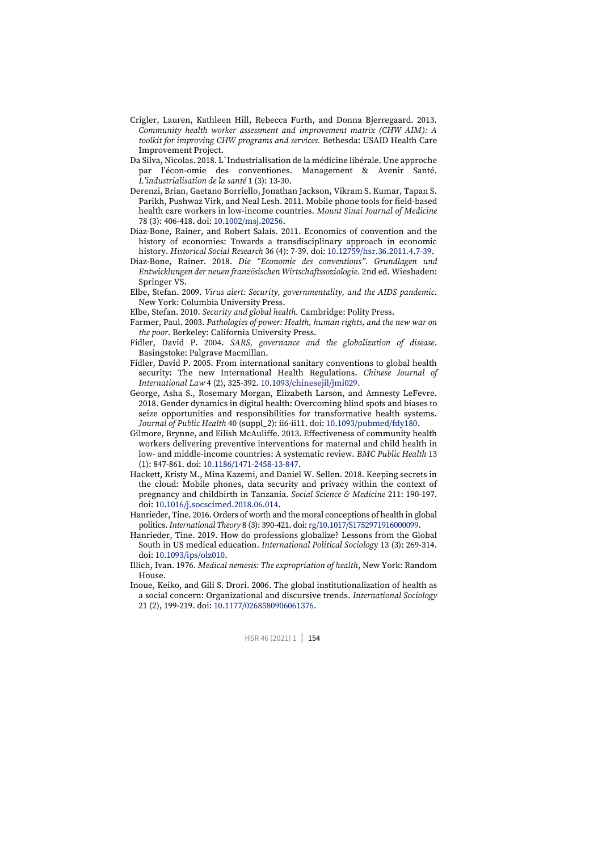- Crigler, Lauren, Kathleen Hill, Rebecca Furth, and Donna Bjerregaard. 2013. *Community health worker assessment and improvement matrix (CHW AIM): A toolkit for improving CHW programs and services.* Bethesda: USAID Health Care Improvement Project.
- Da Silva, Nicolas. 2018. L`Industrialisation de la médicine libérale. Une approche par l'écon-omie des conventiones. Management & Avenir Santé. *L'industrialisation de la santé* 1 (3): 13-30.
- Derenzi, Brian, Gaetano Borriello, Jonathan Jackson, Vikram S. Kumar, Tapan S. Parikh, Pushwaz Virk, and Neal Lesh. 2011. Mobile phone tools for field-based health care workers in low-income countries. *Mount Sinai Journal of Medicine* 78 (3): 406-418. doi[: 10.1002/msj.20256.](https://doi.org/10.1002/msj.20256)
- Diaz-Bone, Rainer, and Robert Salais. 2011. Economics of convention and the history of economies: Towards a transdisciplinary approach in economic history. *Historical Social Research* 36 (4): 7-39. doi[: 10.12759/hsr.36.2011.4.7-39.](https://doi.org/10.12759/hsr.36.2011.4.7-39)
- Diaz-Bone, Rainer. 2018. *Die "Economie des conventions". Grundlagen und Entwicklungen der neuen französischen Wirtschaftssoziologie.* 2nd ed. Wiesbaden: Springer VS.
- Elbe, Stefan. 2009. *Virus alert: Security, governmentality, and the AIDS pandemic*. New York: Columbia University Press.
- Elbe, Stefan. 2010. *Security and global health.* Cambridge: Polity Press.
- Farmer, Paul. 2003. *Pathologies of power: Health, human rights, and the new war on the poor*. Berkeley: California University Press.
- Fidler, David P. 2004. *SARS, governance and the globalization of disease*. Basingstoke: Palgrave Macmillan.
- Fidler, David P. 2005. From international sanitary conventions to global health security: The new International Health Regulations. *Chinese Journal of International Law* 4 (2), 325-392[. 10.1093/chinesejil/jmi029.](https://doi.org/10.1093/chinesejil/jmi029)
- George, Asha S., Rosemary Morgan, Elizabeth Larson, and Amnesty LeFevre. 2018. Gender dynamics in digital health: Overcoming blind spots and biases to seize opportunities and responsibilities for transformative health systems. *Journal of Public Health* 40 (suppl\_2): ii6-ii11. doi: [10.1093/pubmed/fdy180.](https://doi.org/10.1093/pubmed/fdy180)
- Gilmore, Brynne, and Eilish McAuliffe. 2013. Effectiveness of community health workers delivering preventive interventions for maternal and child health in low- and middle-income countries: A systematic review. *BMC Public Health* 13 (1): 847-861. doi[: 10.1186/1471-2458-13-847.](https://doi.org/10.1186/1471-2458-13-847)
- Hackett, Kristy M., Mina Kazemi, and Daniel W. Sellen. 2018. Keeping secrets in the cloud: Mobile phones, data security and privacy within the context of pregnancy and childbirth in Tanzania. *Social Science & Medicine* 211: 190-197. doi: [10.1016/j.socscimed.2018.06.014.](https://doi.org/10.1016/j.socscimed.2018.06.014)
- Hanrieder, Tine. 2016. Orders of worth and the moral conceptions of health in global politics. *International Theory* 8 (3): 390-421. doi[: rg/10.1017/S1752971916000099.](https://doi.org/rg/10.1017/S1752971916000099)
- Hanrieder, Tine. 2019. How do professions globalize? Lessons from the Global South in US medical education. *International Political Sociolog*y 13 (3): 269-314. doi: [10.1093/ips/olz010.](https://doi.org/10.1093/ips/olz010)
- Illich, Ivan. 1976. *Medical nemesis: The expropriation of health*, New York: Random House.
- Inoue, Keiko, and Gili S. Drori. 2006. The global institutionalization of health as a social concern: Organizational and discursive trends. *International Sociology* 21 (2), 199-219. doi[: 10.1177/0268580906061376.](https://doi.org/10.1177/0268580906061376)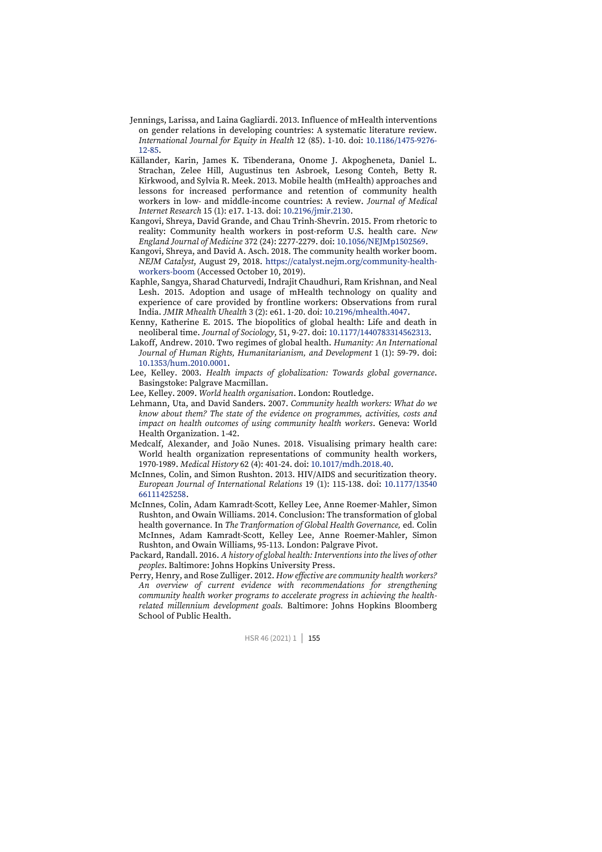- Jennings, Larissa, and Laina Gagliardi. 2013. Influence of mHealth interventions on gender relations in developing countries: A systematic literature review. *International Journal for Equity in Health* 12 (85). 1-10. doi: [10.1186/1475-9276-](https://doi.org/10.1186/1475-9276-12-85) [12-85.](https://doi.org/10.1186/1475-9276-12-85)
- Källander, Karin, James K. Tibenderana, Onome J. Akpogheneta, Daniel L. Strachan, Zelee Hill, Augustinus ten Asbroek, Lesong Conteh, Betty R. Kirkwood, and Sylvia R. Meek. 2013. Mobile health (mHealth) approaches and lessons for increased performance and retention of community health workers in low- and middle-income countries: A review. *Journal of Medical Internet Research* 15 (1): e17. 1-13. doi[: 10.2196/jmir.2130.](https://doi.org/10.2196/jmir.2130)
- Kangovi, Shreya, David Grande, and Chau Trinh-Shevrin. 2015. From rhetoric to reality: Community health workers in post-reform U.S. health care. *New England Journal of Medicine* 372 (24): 2277-2279. doi[: 10.1056/NEJMp1502569.](https://doi.org/10.1056/NEJMp1502569)
- Kangovi, Shreya, and David A. Asch. 2018. The community health worker boom. *NEJM Catalyst*, August 29, 2018. [https://catalyst.nejm.org/community-health](https://catalyst.nejm.org/community-health-workers-boom)[workers-boom](https://catalyst.nejm.org/community-health-workers-boom) (Accessed October 10, 2019).
- Kaphle, Sangya, Sharad Chaturvedi, Indrajit Chaudhuri, Ram Krishnan, and Neal Lesh. 2015. Adoption and usage of mHealth technology on quality and experience of care provided by frontline workers: Observations from rural India. *JMIR Mhealth Uhealth* 3 (2): e61. 1-20. doi[: 10.2196/mhealth.4047.](https://doi.org/10.2196/mhealth.4047)
- Kenny, Katherine E. 2015. The biopolitics of global health: Life and death in neoliberal time. *Journal of Sociology*, 51, 9-27[. doi: 10.1177/1440783314562313.](https://doi.org/10.1177%2F1440783314562313)
- Lakoff, Andrew. 2010. Two regimes of global health. *Humanity: An International Journal of Human Rights, Humanitarianism, and Development* 1 (1): 59-79. doi: [10.1353/hum.2010.0001.](https://doi.org/10.1353/hum.2010.0001)
- Lee, Kelley. 2003. *Health impacts of globalization: Towards global governance*. Basingstoke: Palgrave Macmillan.
- Lee, Kelley. 2009. *World health organisation*. London: Routledge.
- Lehmann, Uta, and David Sanders. 2007. *Community health workers: What do we know about them? The state of the evidence on programmes, activities, costs and impact on health outcomes of using community health workers*. Geneva: World Health Organization. 1-42.
- Medcalf, Alexander, and João Nunes. 2018. Visualising primary health care: World health organization representations of community health workers, 1970-1989. *Medical History* 62 (4): 401-24. doi[: 10.1017/mdh.2018.40.](https://dx.doi.org/10.1017%2Fmdh.2018.40)
- McInnes, Colin, and Simon Rushton. 2013. HIV/AIDS and securitization theory. *European Journal of International Relations* 19 (1): 115-138. doi: [10.1177/13540](https://doi.org/10.1177/1354066111425258) [66111425258.](https://doi.org/10.1177/1354066111425258)
- McInnes, Colin, Adam Kamradt-Scott, Kelley Lee, Anne Roemer-Mahler, Simon Rushton, and Owain Williams. 2014. Conclusion: The transformation of global health governance*.* In *The Tranformation of Global Health Governance,* ed*.* Colin McInnes, Adam Kamradt-Scott, Kelley Lee, Anne Roemer-Mahler, Simon Rushton, and Owain Williams, 95-113. London: Palgrave Pivot.
- Packard, Randall. 2016. *A history of global health: Interventions into the lives of other peoples*. Baltimore: Johns Hopkins University Press.
- Perry, Henry, and Rose Zulliger. 2012. *How effective are community health workers? An overview of current evidence with recommendations for strengthening community health worker programs to accelerate progress in achieving the healthrelated millennium development goals.* Baltimore: Johns Hopkins Bloomberg School of Public Health.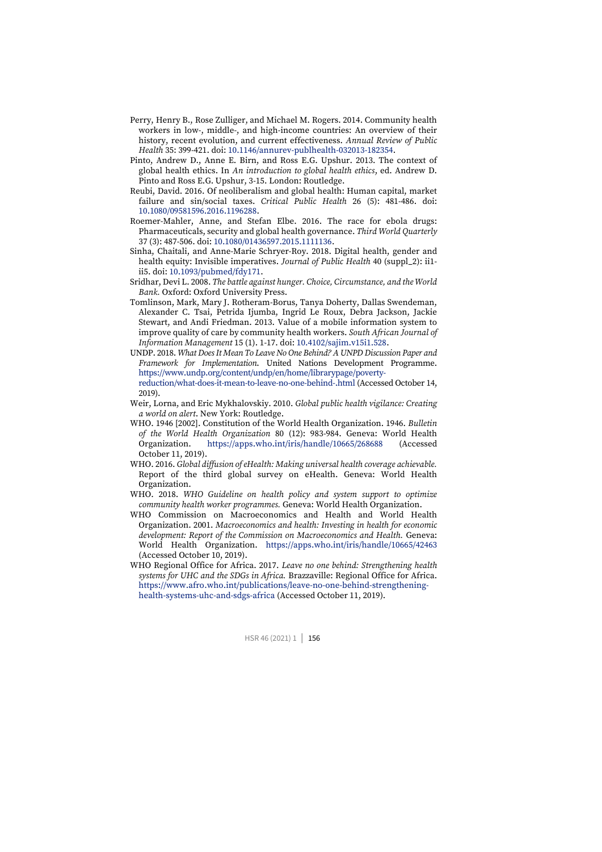- Perry, Henry B., Rose Zulliger, and Michael M. Rogers. 2014. Community health workers in low-, middle-, and high-income countries: An overview of their history, recent evolution, and current effectiveness. *Annual Review of Public Health* 35: 399-421. doi[: 10.1146/annurev-publhealth-032013-182354.](https://doi.org/10.1146/annurev-publhealth-032013-182354)
- Pinto, Andrew D., Anne E. Birn, and Ross E.G. Upshur. 2013. The context of global health ethics. In *An introduction to global health ethics*, ed. Andrew D. Pinto and Ross E.G. Upshur, 3-15. London: Routledge.
- Reubi, David. 2016. Of neoliberalism and global health: Human capital, market failure and sin/social taxes. *Critical Public Health* 26 (5): 481-486. doi: [10.1080/09581596.2016.1196288.](https://doi.org/10.1080/09581596.2016.1196288)
- Roemer-Mahler, Anne, and Stefan Elbe. 2016. The race for ebola drugs: Pharmaceuticals, security and global health governance. *Third World Quarterly* 37 (3): 487-506. doi[: 10.1080/01436597.2015.1111136.](https://doi.org/10.1080/01436597.2015.1111136)
- Sinha, Chaitali, and Anne-Marie Schryer-Roy. 2018. Digital health, gender and health equity: Invisible imperatives. *Journal of Public Health* 40 (suppl\_2): ii1 ii5. doi[: 10.1093/pubmed/fdy171.](https://doi.org/10.1093/pubmed/fdy171)
- Sridhar, Devi L. 2008. *The battle against hunger. Choice, Circumstance, and the World Bank.* Oxford: Oxford University Press.
- Tomlinson, Mark, Mary J. Rotheram-Borus, Tanya Doherty, Dallas Swendeman, Alexander C. Tsai, Petrida Ijumba, Ingrid Le Roux, Debra Jackson, Jackie Stewart, and Andi Friedman. 2013. Value of a mobile information system to improve quality of care by community health workers. *South African Journal of Information Management* 15 (1). 1-17. doi[: 10.4102/sajim.v15i1.528.](https://doi.org/10.4102/sajim.v15i1.528)
- UNDP. 2018. *What Does It Mean To Leave No One Behind? A UNPD Discussion Paper and Framework for Implementation*. United Nations Development Programme. [https://www.undp.org/content/undp/en/home/librarypage/poverty](https://www.undp.org/content/undp/en/home/librarypage/poverty-reduction/what-does-it-mean-to-leave-no-one-behind-.html)[reduction/what-does-it-mean-to-leave-no-one-behind-.html](https://www.undp.org/content/undp/en/home/librarypage/poverty-reduction/what-does-it-mean-to-leave-no-one-behind-.html) (Accessed October 14, 2019).
- Weir, Lorna, and Eric Mykhalovskiy. 2010. *Global public health vigilance: Creating a world on alert*. New York: Routledge.
- WHO. 1946 [2002]. Constitution of the World Health Organization. 1946. *Bulletin of the World Health Organization* 80 (12): 983-984. Geneva: World Health Organization. <https://apps.who.int/iris/handle/10665/268688> (Accessed October 11, 2019).
- WHO. 2016. *Global diffusion of eHealth: Making universal health coverage achievable.*  Report of the third global survey on eHealth. Geneva: World Health Organization.
- WHO. 2018. *WHO Guideline on health policy and system support to optimize community health worker programmes.* Geneva: World Health Organization.
- WHO Commission on Macroeconomics and Health and World Health Organization. 2001. *Macroeconomics and health: Investing in health for economic development: Report of the Commission on Macroeconomics and Health.* Geneva: World Health Organization. <https://apps.who.int/iris/handle/10665/42463> (Accessed October 10, 2019).
- WHO Regional Office for Africa. 2017. *Leave no one behind: Strengthening health systems for UHC and the SDGs in Africa.* Brazzaville: Regional Office for Africa. [https://www.afro.who.int/publications/leave-no-one-behind-strengthening](https://www.afro.who.int/publications/leave-no-one-behind-strengthening-health-systems-uhc-and-sdgs-africa)[health-systems-uhc-and-sdgs-africa](https://www.afro.who.int/publications/leave-no-one-behind-strengthening-health-systems-uhc-and-sdgs-africa) (Accessed October 11, 2019).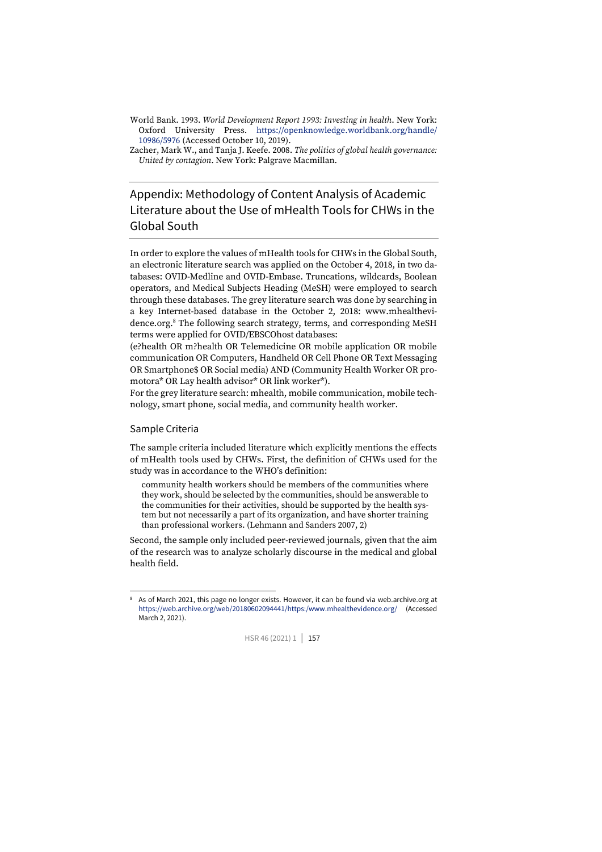World Bank. 1993. *World Development Report 1993: Investing in health*. New York: Oxford University Press. [https://openknowledge.worldbank.org/handle/](https://openknowledge.worldbank.org/handle/10986/5976) [10986/5976](https://openknowledge.worldbank.org/handle/10986/5976) (Accessed October 10, 2019).

# Appendix: Methodology of Content Analysis of Academic Literature about the Use of mHealth Tools for CHWs in the Global South

In order to explore the values of mHealth tools for CHWs in the Global South, an electronic literature search was applied on the October 4, 2018, in two databases: OVID-Medline and OVID-Embase. Truncations, wildcards, Boolean operators, and Medical Subjects Heading (MeSH) were employed to search through these databases. The grey literature search was done by searching in a key Internet-based database in the October 2, 2018: www.mhealthevidence.org. <sup>8</sup> The following search strategy, terms, and corresponding MeSH terms were applied for OVID/EBSCOhost databases:

(e?health OR m?health OR Telemedicine OR mobile application OR mobile communication OR Computers, Handheld OR Cell Phone OR Text Messaging OR Smartphone\$ OR Social media) AND (Community Health Worker OR promotora\* OR Lay health advisor\* OR link worker\*).

For the grey literature search: mhealth, mobile communication, mobile technology, smart phone, social media, and community health worker.

#### Sample Criteria

The sample criteria included literature which explicitly mentions the effects of mHealth tools used by CHWs. First, the definition of CHWs used for the study was in accordance to the WHO's definition:

community health workers should be members of the communities where they work, should be selected by the communities, should be answerable to the communities for their activities, should be supported by the health system but not necessarily a part of its organization, and have shorter training than professional workers. (Lehmann and Sanders 2007, 2)

Second, the sample only included peer-reviewed journals, given that the aim of the research was to analyze scholarly discourse in the medical and global health field.

<sup>8</sup> As of March 2021, this page no longer exists. However, it can be found via web.archive.org at <https://web.archive.org/web/20180602094441/https:/www.mhealthevidence.org/> (Accessed March 2, 2021).



Zacher, Mark W., and Tanja J. Keefe. 2008. *The politics of global health governance: United by contagion*. New York: Palgrave Macmillan.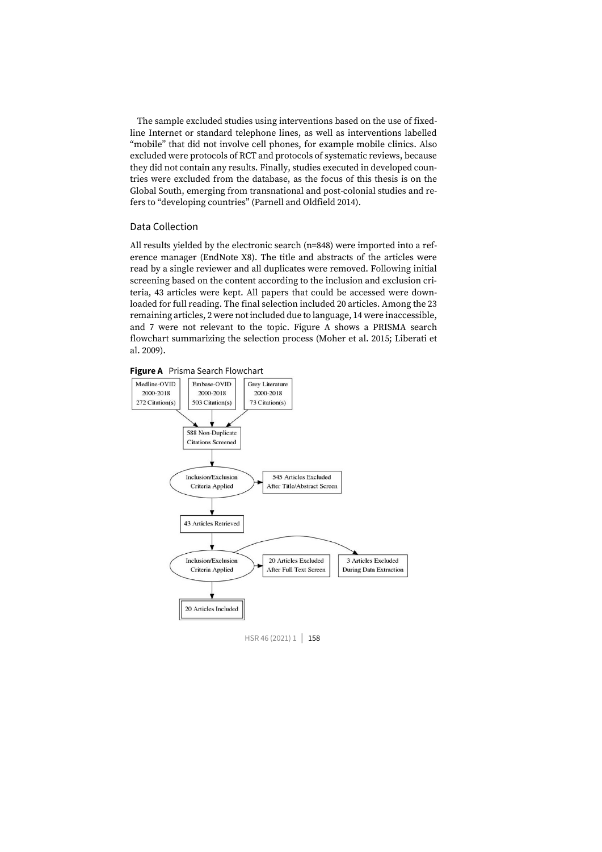The sample excluded studies using interventions based on the use of fixedline Internet or standard telephone lines, as well as interventions labelled "mobile" that did not involve cell phones, for example mobile clinics. Also excluded were protocols of RCT and protocols of systematic reviews, because they did not contain any results. Finally, studies executed in developed countries were excluded from the database, as the focus of this thesis is on the Global South, emerging from transnational and post-colonial studies and refers to "developing countries" (Parnell and Oldfield 2014).

#### Data Collection

All results yielded by the electronic search (n=848) were imported into a reference manager (EndNote X8). The title and abstracts of the articles were read by a single reviewer and all duplicates were removed. Following initial screening based on the content according to the inclusion and exclusion criteria, 43 articles were kept. All papers that could be accessed were downloaded for full reading. The final selection included 20 articles. Among the 23 remaining articles, 2 were not included due to language, 14 were inaccessible, and 7 were not relevant to the topic. Figure A shows a PRISMA search flowchart summarizing the selection process (Moher et al. 2015; Liberati et al. 2009).





HSR 46 (2021) 1 | 158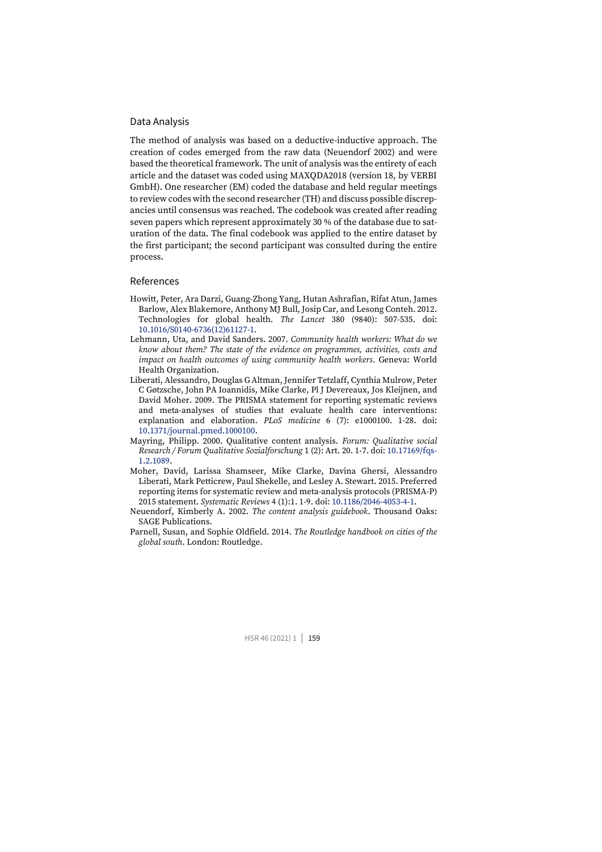#### Data Analysis

The method of analysis was based on a deductive-inductive approach. The creation of codes emerged from the raw data (Neuendorf 2002) and were based the theoretical framework. The unit of analysis was the entirety of each article and the dataset was coded using MAXQDA2018 (version 18, by VERBI GmbH). One researcher (EM) coded the database and held regular meetings to review codes with the second researcher (TH) and discuss possible discrepancies until consensus was reached. The codebook was created after reading seven papers which represent approximately 30 % of the database due to saturation of the data. The final codebook was applied to the entire dataset by the first participant; the second participant was consulted during the entire process.

#### References

- Howitt, Peter, Ara Darzi, Guang-Zhong Yang, Hutan Ashrafian, Rifat Atun, James Barlow, Alex Blakemore, Anthony MJ Bull, Josip Car, and Lesong Conteh. 2012. Technologies for global health. *The Lancet* 380 (9840): 507-535. doi: [10.1016/S0140-6736\(12\)61127-1.](https://doi.org/10.1016/S0140-6736(12)61127-1)
- Lehmann, Uta, and David Sanders. 2007. *Community health workers: What do we know about them? The state of the evidence on programmes, activities, costs and impact on health outcomes of using community health workers*. Geneva: World Health Organization.
- Liberati, Alessandro, Douglas G Altman, Jennifer Tetzlaff, Cynthia Mulrow, Peter C Gøtzsche, John PA Ioannidis, Mike Clarke, Pl J Devereaux, Jos Kleijnen, and David Moher. 2009. The PRISMA statement for reporting systematic reviews and meta-analyses of studies that evaluate health care interventions: explanation and elaboration. *PLoS medicine* 6 (7): e1000100. 1-28. doi: [10.1371/journal.pmed.1000100.](https://doi.org/10.1371/journal.pmed.1000100)
- Mayring, Philipp. 2000. Qualitative content analysis. *Forum: Qualitative social Research / Forum Qualitative Sozialforschung* 1 (2): Art. 20. 1-7. doi[: 10.17169/fqs-](http://dx.doi.org/10.17169/fqs-1.2.1089)[1.2.1089.](http://dx.doi.org/10.17169/fqs-1.2.1089)
- Moher, David, Larissa Shamseer, Mike Clarke, Davina Ghersi, Alessandro Liberati, Mark Petticrew, Paul Shekelle, and Lesley A. Stewart. 2015. Preferred reporting items for systematic review and meta-analysis protocols (PRISMA-P) 2015 statement. *Systematic Reviews* 4 (1):1. 1-9. doi[: 10.1186/2046-4053-4-1.](https://doi.org/10.1186/2046-4053-4-1)
- Neuendorf, Kimberly A. 2002. *The content analysis guidebook*. Thousand Oaks: SAGE Publications.
- Parnell, Susan, and Sophie Oldfield. 2014. *The Routledge handbook on cities of the global south*. London: Routledge.